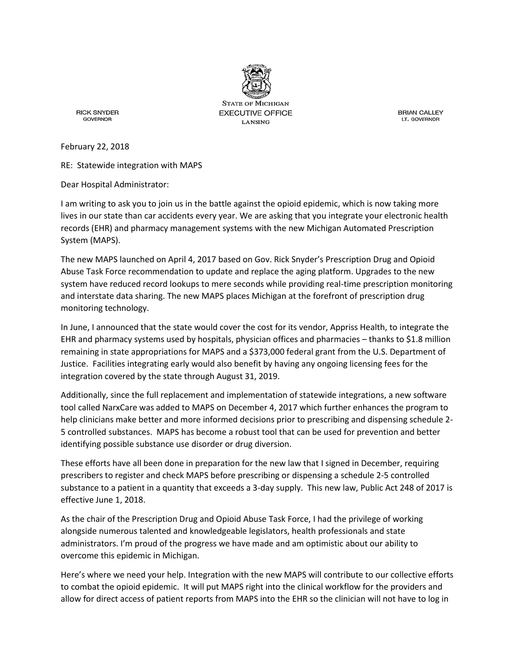

**STATE OF MICHIGAN EXECUTIVE OFFICE LANSING** 

**RICK SNYDER GOVERNOR** 

**BRIAN CALLEY** LT. GOVERNOR

February 22, 2018

RE: Statewide integration with MAPS

Dear Hospital Administrator:

I am writing to ask you to join us in the battle against the opioid epidemic, which is now taking more lives in our state than car accidents every year. We are asking that you integrate your electronic health records (EHR) and pharmacy management systems with the new Michigan Automated Prescription System (MAPS).

The new MAPS launched on April 4, 2017 based on Gov. Rick Snyder's Prescription Drug and Opioid Abuse Task Force recommendation to update and replace the aging platform. Upgrades to the new system have reduced record lookups to mere seconds while providing real-time prescription monitoring and interstate data sharing. The new MAPS places Michigan at the forefront of prescription drug monitoring technology.

In June, I announced that the state would cover the cost for its vendor, Appriss Health, to integrate the EHR and pharmacy systems used by hospitals, physician offices and pharmacies – thanks to \$1.8 million remaining in state appropriations for MAPS and a \$373,000 federal grant from the U.S. Department of Justice. Facilities integrating early would also benefit by having any ongoing licensing fees for the integration covered by the state through August 31, 2019.

Additionally, since the full replacement and implementation of statewide integrations, a new software tool called NarxCare was added to MAPS on December 4, 2017 which further enhances the program to help clinicians make better and more informed decisions prior to prescribing and dispensing schedule 2- 5 controlled substances. MAPS has become a robust tool that can be used for prevention and better identifying possible substance use disorder or drug diversion.

These efforts have all been done in preparation for the new law that I signed in December, requiring prescribers to register and check MAPS before prescribing or dispensing a schedule 2-5 controlled substance to a patient in a quantity that exceeds a 3-day supply. This new law, Public Act 248 of 2017 is effective June 1, 2018.

As the chair of the Prescription Drug and Opioid Abuse Task Force, I had the privilege of working alongside numerous talented and knowledgeable legislators, health professionals and state administrators. I'm proud of the progress we have made and am optimistic about our ability to overcome this epidemic in Michigan.

Here's where we need your help. Integration with the new MAPS will contribute to our collective efforts to combat the opioid epidemic. It will put MAPS right into the clinical workflow for the providers and allow for direct access of patient reports from MAPS into the EHR so the clinician will not have to log in